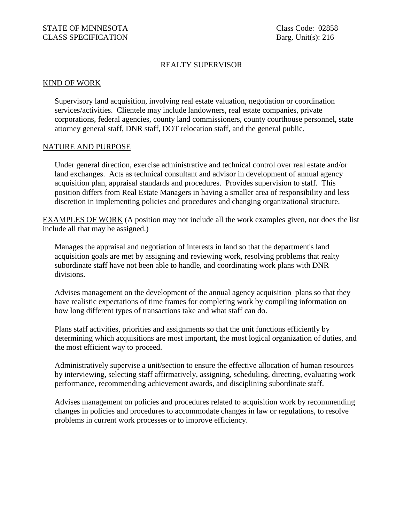## REALTY SUPERVISOR

## KIND OF WORK

Supervisory land acquisition, involving real estate valuation, negotiation or coordination services/activities. Clientele may include landowners, real estate companies, private corporations, federal agencies, county land commissioners, county courthouse personnel, state attorney general staff, DNR staff, DOT relocation staff, and the general public.

## NATURE AND PURPOSE

Under general direction, exercise administrative and technical control over real estate and/or land exchanges. Acts as technical consultant and advisor in development of annual agency acquisition plan, appraisal standards and procedures. Provides supervision to staff. This position differs from Real Estate Managers in having a smaller area of responsibility and less discretion in implementing policies and procedures and changing organizational structure.

EXAMPLES OF WORK (A position may not include all the work examples given, nor does the list include all that may be assigned.)

Manages the appraisal and negotiation of interests in land so that the department's land acquisition goals are met by assigning and reviewing work, resolving problems that realty subordinate staff have not been able to handle, and coordinating work plans with DNR divisions.

Advises management on the development of the annual agency acquisition plans so that they have realistic expectations of time frames for completing work by compiling information on how long different types of transactions take and what staff can do.

Plans staff activities, priorities and assignments so that the unit functions efficiently by determining which acquisitions are most important, the most logical organization of duties, and the most efficient way to proceed.

Administratively supervise a unit/section to ensure the effective allocation of human resources by interviewing, selecting staff affirmatively, assigning, scheduling, directing, evaluating work performance, recommending achievement awards, and disciplining subordinate staff.

Advises management on policies and procedures related to acquisition work by recommending changes in policies and procedures to accommodate changes in law or regulations, to resolve problems in current work processes or to improve efficiency.